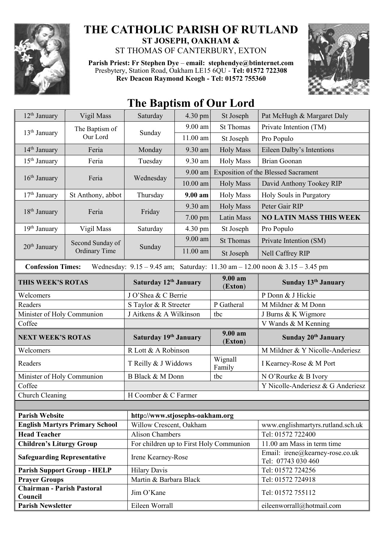

## **THE CATHOLIC PARISH OF RUTLAND ST JOSEPH, OAKHAM &**  ST THOMAS OF CANTERBURY, EXTON

**Parish Priest: Fr Stephen Dye** – **[email: stephendye@btinternet.com](mailto:email:%20%20stephendye@btinternet.com)**

Presbytery, Station Road, Oakham LE15 6QU - **Tel: 01572 722308 Rev Deacon Raymond Keogh - Tel: 01572 755360**



## 12<sup>th</sup> January Vigil Mass Saturday 4.30 pm St Joseph Pat McHugh & Margaret Daly  $13<sup>th</sup>$  January The Baptism of E Bapusin of Sunday<br>Our Lord Sunday 9.00 am St Thomas Private Intention (TM) 11.00 am St Joseph Pro Populo 14<sup>th</sup> January Feria Monday 9.30 am Holy Mass Eileen Dalby's Intentions 15<sup>th</sup> January Feria Tuesday 9.30 am Holy Mass Brian Goonan 16<sup>th</sup> January Feria Wednesday 9.00 am Exposition of the Blessed Sacrament 10.00 am Holy Mass | David Anthony Tookey RIP 17<sup>th</sup> January St Anthony, abbot Thursday 9.00 am Holy Mass Holy Souls in Purgatory 18<sup>th</sup> January Feria Friday 9.30 am Holy Mass Peter Gair RIP 7.00 pm Latin Mass **NO LATIN MASS THIS WEEK** 19<sup>th</sup> January | Vigil Mass | Saturday | 4.30 pm | St Joseph | Pro Populo  $20^{th}$  January Second Sunday of Ordinary Time Sunday 9.00 am St Thomas Private Intention  $(SM)$ 11.00 am St Joseph Nell Caffrey RIP  **Confession Times:** Wednesday: 9.15 – 9.45 am; Saturday: 11.30 am – 12.00 noon & 3.15 – 3.45 pm **THIS WEEK'S ROTAS Saturday 12th January 9.00 am** (**Exton**) **Sunday 13th January** Welcomers J O'Shea & C Berrie P Donn & J Hickie Readers S Taylor & R Streeter P Gatheral M Mildner & M Donn Minister of Holy Communion J Aitkens & A Wilkinson tbc J Burns & K Wigmore Coffee V Wands & M Kenning **NEXT WEEK'S ROTAS Saturday 19th January 9.00 am** (**Exton**) **Sunday 20th January** Welcomers R Lott & A Robinson M Mildner & Y Nicolle-Anderiesz Readers T Reilly & J Widdows Wignall I Kearney-Rose & M Port Minister of Holy Communion B B Black & M Donn tbc N O'Rourke & B Ivory Coffee Y Nicolle-Anderiesz & G Anderiesz Church Cleaning H Coomber & C Farmer **Parish Website [http://www.stjosephs-oakham.org](http://www.stjosephs-oakham.org/) English Martyrs Primary School** Willow Crescent, Oakham www.englishmartyrs.rutland.sch.uk **Head Teacher** Alison Chambers Tel: 01572 722400 **Children's Liturgy Group** For children up to First Holy Communion 11.00 am Mass in term time **Safeguarding Representative** Irene Kearney-Rose Email: irene@kearney-rose.co.uk Tel: 07743 030 460 **Parish Support Group - HELP** Hilary Davis Tel: 01572 724256 **Prayer Groups** Martin & Barbara Black Tel: 01572 724918 **Chairman - Parish Pastoral**  Council **Council** Jim O'Kane Tel: 01572 755112

**Parish Newsletter** Eileen Worrall Eileen Worrall eileenworrall eileenworrall eileenworrall eileenworrall eileenworrall eileenworrall eileenworrall eileenworrall eileenworrall eileenworrall eileenworrall eileenworrall eile

## **The Baptism of Our Lord**